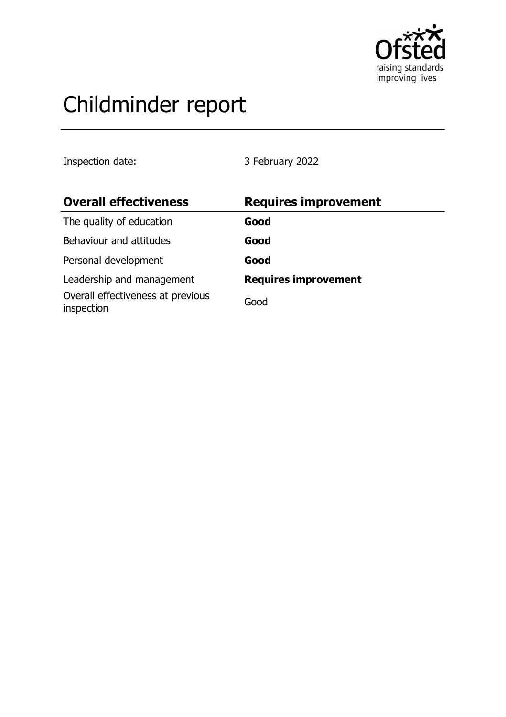

# Childminder report

Inspection date: 3 February 2022

| <b>Overall effectiveness</b>                    | <b>Requires improvement</b> |
|-------------------------------------------------|-----------------------------|
| The quality of education                        | Good                        |
| Behaviour and attitudes                         | Good                        |
| Personal development                            | Good                        |
| Leadership and management                       | <b>Requires improvement</b> |
| Overall effectiveness at previous<br>inspection | Good                        |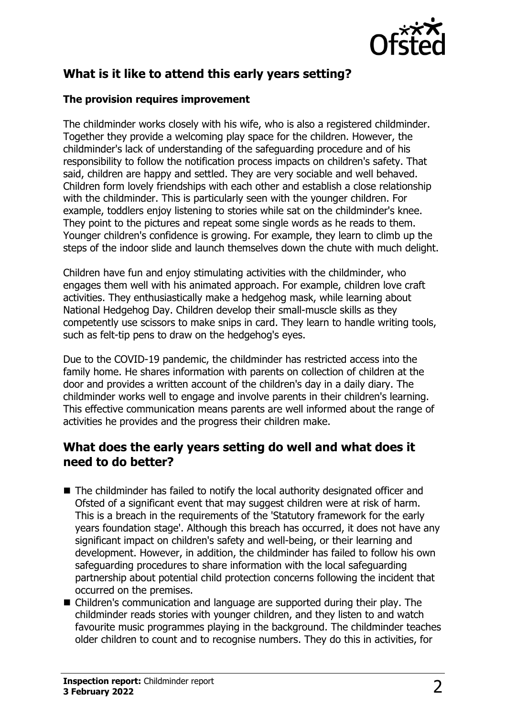

# **What is it like to attend this early years setting?**

#### **The provision requires improvement**

The childminder works closely with his wife, who is also a registered childminder. Together they provide a welcoming play space for the children. However, the childminder's lack of understanding of the safeguarding procedure and of his responsibility to follow the notification process impacts on children's safety. That said, children are happy and settled. They are very sociable and well behaved. Children form lovely friendships with each other and establish a close relationship with the childminder. This is particularly seen with the younger children. For example, toddlers enjoy listening to stories while sat on the childminder's knee. They point to the pictures and repeat some single words as he reads to them. Younger children's confidence is growing. For example, they learn to climb up the steps of the indoor slide and launch themselves down the chute with much delight.

Children have fun and enjoy stimulating activities with the childminder, who engages them well with his animated approach. For example, children love craft activities. They enthusiastically make a hedgehog mask, while learning about National Hedgehog Day. Children develop their small-muscle skills as they competently use scissors to make snips in card. They learn to handle writing tools, such as felt-tip pens to draw on the hedgehog's eyes.

Due to the COVID-19 pandemic, the childminder has restricted access into the family home. He shares information with parents on collection of children at the door and provides a written account of the children's day in a daily diary. The childminder works well to engage and involve parents in their children's learning. This effective communication means parents are well informed about the range of activities he provides and the progress their children make.

## **What does the early years setting do well and what does it need to do better?**

- $\blacksquare$  The childminder has failed to notify the local authority designated officer and Ofsted of a significant event that may suggest children were at risk of harm. This is a breach in the requirements of the 'Statutory framework for the early years foundation stage'. Although this breach has occurred, it does not have any significant impact on children's safety and well-being, or their learning and development. However, in addition, the childminder has failed to follow his own safeguarding procedures to share information with the local safeguarding partnership about potential child protection concerns following the incident that occurred on the premises.
- Children's communication and language are supported during their play. The childminder reads stories with younger children, and they listen to and watch favourite music programmes playing in the background. The childminder teaches older children to count and to recognise numbers. They do this in activities, for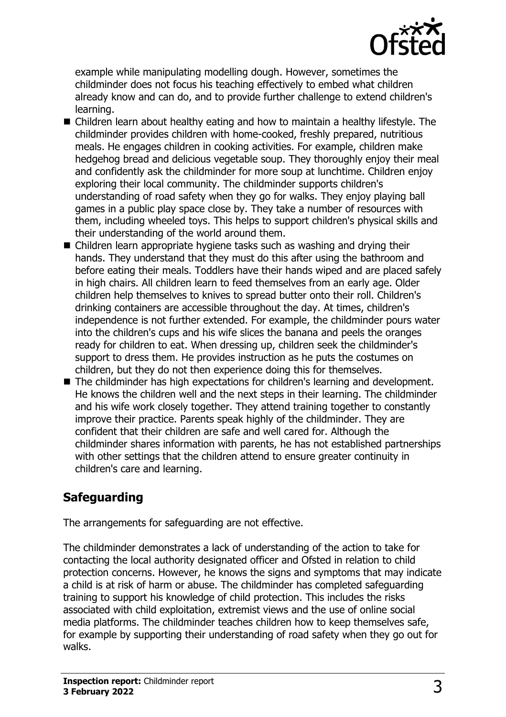

example while manipulating modelling dough. However, sometimes the childminder does not focus his teaching effectively to embed what children already know and can do, and to provide further challenge to extend children's learning.

- $\blacksquare$  Children learn about healthy eating and how to maintain a healthy lifestyle. The childminder provides children with home-cooked, freshly prepared, nutritious meals. He engages children in cooking activities. For example, children make hedgehog bread and delicious vegetable soup. They thoroughly enjoy their meal and confidently ask the childminder for more soup at lunchtime. Children enjoy exploring their local community. The childminder supports children's understanding of road safety when they go for walks. They enjoy playing ball games in a public play space close by. They take a number of resources with them, including wheeled toys. This helps to support children's physical skills and their understanding of the world around them.
- $\blacksquare$  Children learn appropriate hygiene tasks such as washing and drying their hands. They understand that they must do this after using the bathroom and before eating their meals. Toddlers have their hands wiped and are placed safely in high chairs. All children learn to feed themselves from an early age. Older children help themselves to knives to spread butter onto their roll. Children's drinking containers are accessible throughout the day. At times, children's independence is not further extended. For example, the childminder pours water into the children's cups and his wife slices the banana and peels the oranges ready for children to eat. When dressing up, children seek the childminder's support to dress them. He provides instruction as he puts the costumes on children, but they do not then experience doing this for themselves.
- The childminder has high expectations for children's learning and development. He knows the children well and the next steps in their learning. The childminder and his wife work closely together. They attend training together to constantly improve their practice. Parents speak highly of the childminder. They are confident that their children are safe and well cared for. Although the childminder shares information with parents, he has not established partnerships with other settings that the children attend to ensure greater continuity in children's care and learning.

## **Safeguarding**

The arrangements for safeguarding are not effective.

The childminder demonstrates a lack of understanding of the action to take for contacting the local authority designated officer and Ofsted in relation to child protection concerns. However, he knows the signs and symptoms that may indicate a child is at risk of harm or abuse. The childminder has completed safeguarding training to support his knowledge of child protection. This includes the risks associated with child exploitation, extremist views and the use of online social media platforms. The childminder teaches children how to keep themselves safe, for example by supporting their understanding of road safety when they go out for walks.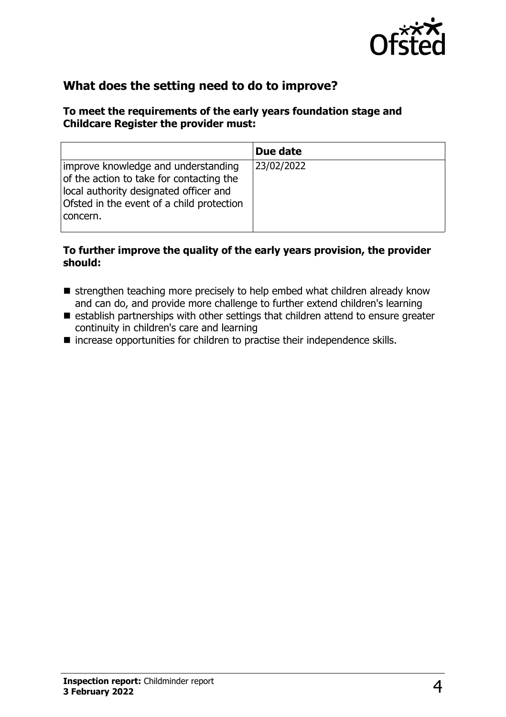

## **What does the setting need to do to improve?**

#### **To meet the requirements of the early years foundation stage and Childcare Register the provider must:**

|                                                                                                                                                                                    | Due date   |
|------------------------------------------------------------------------------------------------------------------------------------------------------------------------------------|------------|
| improve knowledge and understanding<br>of the action to take for contacting the<br>local authority designated officer and<br>Ofsted in the event of a child protection<br>concern. | 23/02/2022 |

#### **To further improve the quality of the early years provision, the provider should:**

- $\blacksquare$  strengthen teaching more precisely to help embed what children already know and can do, and provide more challenge to further extend children's learning
- $\blacksquare$  establish partnerships with other settings that children attend to ensure greater continuity in children's care and learning
- $\blacksquare$  increase opportunities for children to practise their independence skills.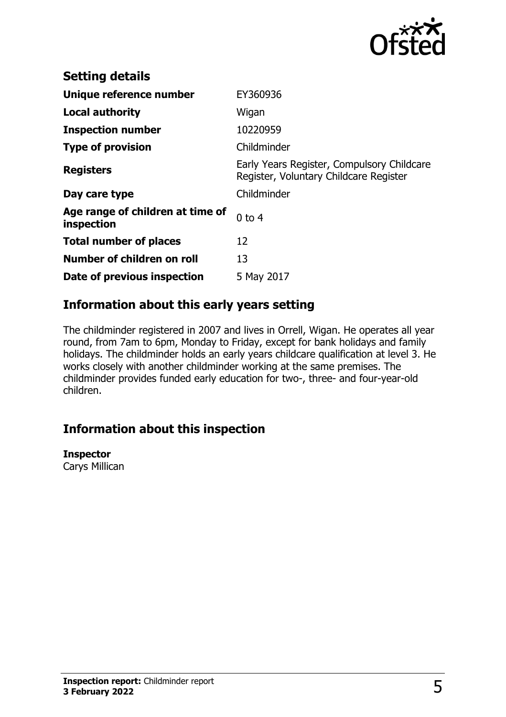

| <b>Setting details</b>                         |                                                                                      |
|------------------------------------------------|--------------------------------------------------------------------------------------|
| Unique reference number                        | EY360936                                                                             |
| <b>Local authority</b>                         | Wigan                                                                                |
| <b>Inspection number</b>                       | 10220959                                                                             |
| <b>Type of provision</b>                       | Childminder                                                                          |
| <b>Registers</b>                               | Early Years Register, Compulsory Childcare<br>Register, Voluntary Childcare Register |
| Day care type                                  | Childminder                                                                          |
| Age range of children at time of<br>inspection | $0$ to 4                                                                             |
| <b>Total number of places</b>                  | 12                                                                                   |
| Number of children on roll                     | 13                                                                                   |
| Date of previous inspection                    | 5 May 2017                                                                           |

## **Information about this early years setting**

The childminder registered in 2007 and lives in Orrell, Wigan. He operates all year round, from 7am to 6pm, Monday to Friday, except for bank holidays and family holidays. The childminder holds an early years childcare qualification at level 3. He works closely with another childminder working at the same premises. The childminder provides funded early education for two-, three- and four-year-old children.

## **Information about this inspection**

**Inspector**

Carys Millican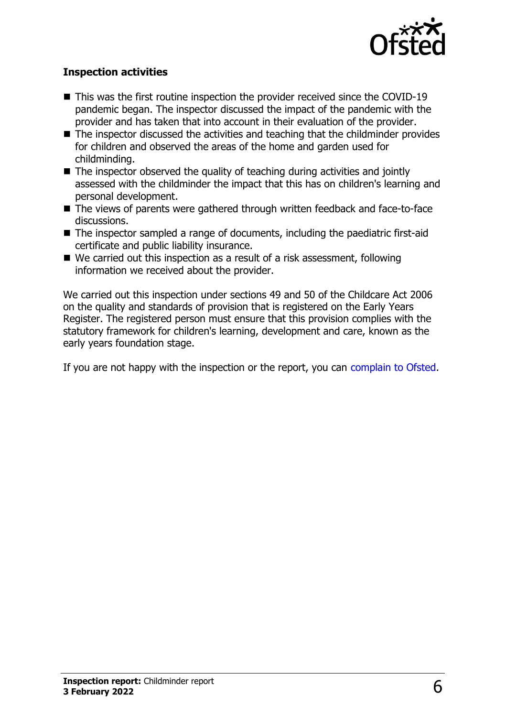

#### **Inspection activities**

- $\blacksquare$  This was the first routine inspection the provider received since the COVID-19 pandemic began. The inspector discussed the impact of the pandemic with the provider and has taken that into account in their evaluation of the provider.
- $\blacksquare$  The inspector discussed the activities and teaching that the childminder provides for children and observed the areas of the home and garden used for childminding.
- $\blacksquare$  The inspector observed the quality of teaching during activities and jointly assessed with the childminder the impact that this has on children's learning and personal development.
- $\blacksquare$  The views of parents were gathered through written feedback and face-to-face discussions.
- $\blacksquare$  The inspector sampled a range of documents, including the paediatric first-aid certificate and public liability insurance.
- $\blacksquare$  We carried out this inspection as a result of a risk assessment, following information we received about the provider.

We carried out this inspection under sections 49 and 50 of the Childcare Act 2006 on the quality and standards of provision that is registered on the Early Years Register. The registered person must ensure that this provision complies with the statutory framework for children's learning, development and care, known as the early years foundation stage.

If you are not happy with the inspection or the report, you can [complain to Ofsted](http://www.gov.uk/complain-ofsted-report).